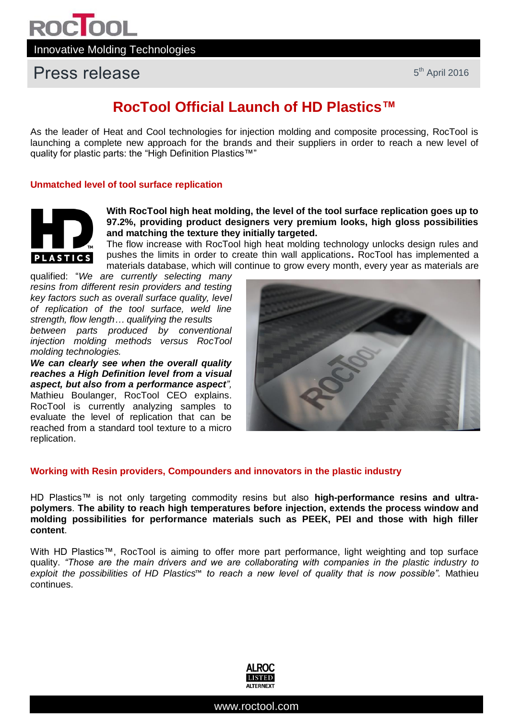## Press release

### **RocTool Official Launch of HD Plastics™**

As the leader of Heat and Cool technologies for injection molding and composite processing, RocTool is launching a complete new approach for the brands and their suppliers in order to reach a new level of quality for plastic parts: the "High Definition Plastics™"

### **Unmatched level of tool surface replication**



**With RocTool high heat molding, the level of the tool surface replication goes up to 97.2%, providing product designers very premium looks, high gloss possibilities and matching the texture they initially targeted.**

The flow increase with RocTool high heat molding technology unlocks design rules and pushes the limits in order to create thin wall applications**.** RocTool has implemented a materials database, which will continue to grow every month, every year as materials are

qualified: "*We are currently selecting many resins from different resin providers and testing key factors such as overall surface quality, level of replication of the tool surface, weld line strength, flow length… qualifying the results* 

*between parts produced by conventional injection molding methods versus RocTool molding technologies.*

*We can clearly see when the overall quality reaches a High Definition level from a visual aspect, but also from a performance aspect",*  Mathieu Boulanger, RocTool CEO explains. RocTool is currently analyzing samples to evaluate the level of replication that can be reached from a standard tool texture to a micro replication.



### **Working with Resin providers, Compounders and innovators in the plastic industry**

HD Plastics™ is not only targeting commodity resins but also **high-performance resins and ultrapolymers**. **The ability to reach high temperatures before injection, extends the process window and molding possibilities for performance materials such as PEEK, PEI and those with high filler content**.

With HD Plastics™, RocTool is aiming to offer more part performance, light weighting and top surface quality. *"Those are the main drivers and we are collaborating with companies in the plastic industry to exploit the possibilities of HD Plastics*™ *to reach a new level of quality that is now possible".* Mathieu continues.

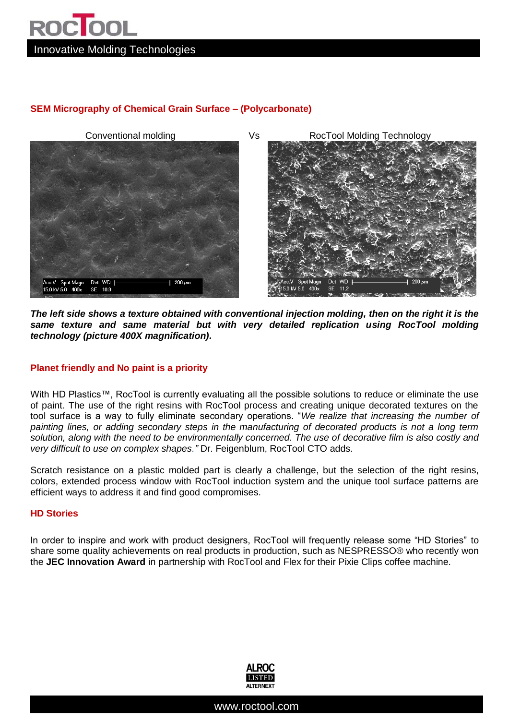# **ROC**OOL Innovative Molding Technologies

### **SEM Micrography of Chemical Grain Surface – (Polycarbonate)**



*The left side shows a texture obtained with conventional injection molding, then on the right it is the same texture and same material but with very detailed replication using RocTool molding technology (picture 400X magnification).*

### **Planet friendly and No paint is a priority**

With HD Plastics™, RocTool is currently evaluating all the possible solutions to reduce or eliminate the use of paint. The use of the right resins with RocTool process and creating unique decorated textures on the tool surface is a way to fully eliminate secondary operations. "*We realize that increasing the number of painting lines, or adding secondary steps in the manufacturing of decorated products is not a long term solution, along with the need to be environmentally concerned. The use of decorative film is also costly and very difficult to use on complex shapes."* Dr. Feigenblum, RocTool CTO adds.

Scratch resistance on a plastic molded part is clearly a challenge, but the selection of the right resins, colors, extended process window with RocTool induction system and the unique tool surface patterns are efficient ways to address it and find good compromises.

### **HD Stories**

In order to inspire and work with product designers, RocTool will frequently release some "HD Stories" to share some quality achievements on real products in production, such as NESPRESSO® who recently won the **JEC Innovation Award** in partnership with RocTool and Flex for their Pixie Clips coffee machine.



www.roctool.com